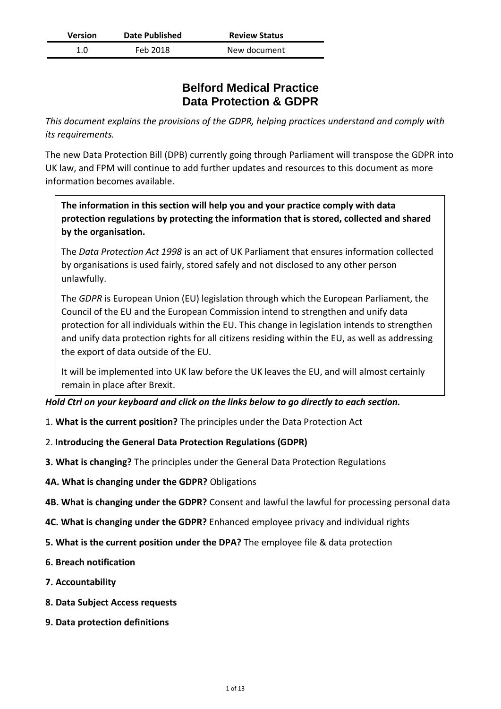| <b>Version</b> | <b>Date Published</b> | <b>Review Status</b> |
|----------------|-----------------------|----------------------|
| 1.0            | Feb 2018              | New document         |

# **Belford Medical Practice Data Protection & GDPR**

*This document explains the provisions of the GDPR, helping practices understand and comply with its requirements.*

The new Data Protection Bill (DPB) currently going through Parliament will transpose the GDPR into UK law, and FPM will continue to add further updates and resources to this document as more information becomes available.

**The information in this section will help you and your practice comply with data protection regulations by protecting the information that is stored, collected and shared by the organisation.**

The *Data Protection Act 1998* is an act of UK Parliament that ensures information collected by organisations is used fairly, stored safely and not disclosed to any other person unlawfully.

The *GDPR* is European Union (EU) legislation through which the European Parliament, the Council of the EU and the European Commission intend to strengthen and unify data protection for all individuals within the EU. This change in legislation intends to strengthen and unify data protection rights for all citizens residing within the EU, as well as addressing the export of data outside of the EU.

It will be implemented into UK law before the UK leaves the EU, and will almost certainly remain in place after Brexit.

*Hold Ctrl on your keyboard and click on the links below to go directly to each section.*

- 1. **What is the current position?** [The principles under the Data Protection Act](#page-1-0)
- 2. **[Introducing the General Data Protection Regulations \(GDPR\)](#page-2-0)**
- **3. What is changing?** [The principles under the General Data Protection Regulations](#page-3-0)
- **4A. [What is changing under the GDPR?](#page-4-0)** Obligations
- **4B. What is changing under the GDPR?** [Consent and lawful the lawful for processing personal data](#page-5-0)
- **4C. What is changing under the GDPR?** [Enhanced employee privacy and individual rights](#page-6-0)
- **[5. What is the current position under the DPA?](#page-7-0)** The employee file & data protection
- **[6. Breach notification](#page-9-0)**
- **[7. Accountability](#page-10-0)**
- **[8. Data Subject Access requests](#page-11-0)**
- **[9. Data protection definitions](#page-12-0)**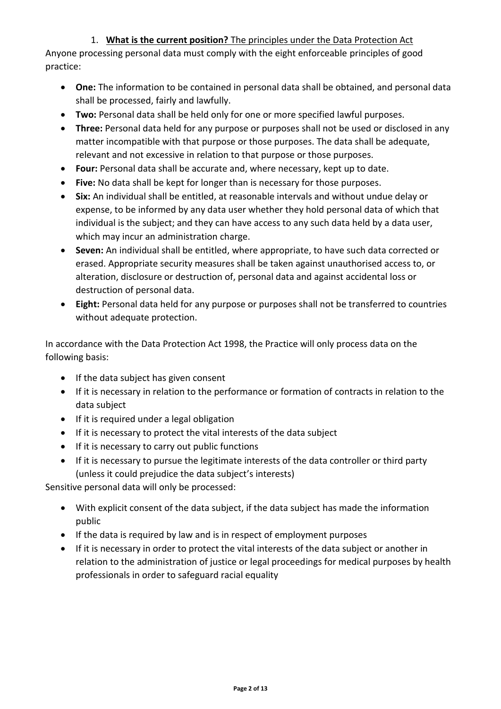# 1. **What is the current position?** The principles under the Data Protection Act

<span id="page-1-0"></span>Anyone processing personal data must comply with the eight enforceable principles of good practice:

- **One:** The information to be contained in personal data shall be obtained, and personal data shall be processed, fairly and lawfully.
- **Two:** Personal data shall be held only for one or more specified lawful purposes.
- **Three:** Personal data held for any purpose or purposes shall not be used or disclosed in any matter incompatible with that purpose or those purposes. The data shall be adequate, relevant and not excessive in relation to that purpose or those purposes.
- **Four:** Personal data shall be accurate and, where necessary, kept up to date.
- **Five:** No data shall be kept for longer than is necessary for those purposes.
- **Six:** An individual shall be entitled, at reasonable intervals and without undue delay or expense, to be informed by any data user whether they hold personal data of which that individual is the subject; and they can have access to any such data held by a data user, which may incur an administration charge.
- **Seven:** An individual shall be entitled, where appropriate, to have such data corrected or erased. Appropriate security measures shall be taken against unauthorised access to, or alteration, disclosure or destruction of, personal data and against accidental loss or destruction of personal data.
- **Eight:** Personal data held for any purpose or purposes shall not be transferred to countries without adequate protection.

In accordance with the Data Protection Act 1998, the Practice will only process data on the following basis:

- If the data subject has given consent
- If it is necessary in relation to the performance or formation of contracts in relation to the data subject
- If it is required under a legal obligation
- If it is necessary to protect the vital interests of the data subject
- If it is necessary to carry out public functions
- If it is necessary to pursue the legitimate interests of the data controller or third party (unless it could prejudice the data subject's interests)

Sensitive personal data will only be processed:

- With explicit consent of the data subject, if the data subject has made the information public
- If the data is required by law and is in respect of employment purposes
- If it is necessary in order to protect the vital interests of the data subject or another in relation to the administration of justice or legal proceedings for medical purposes by health professionals in order to safeguard racial equality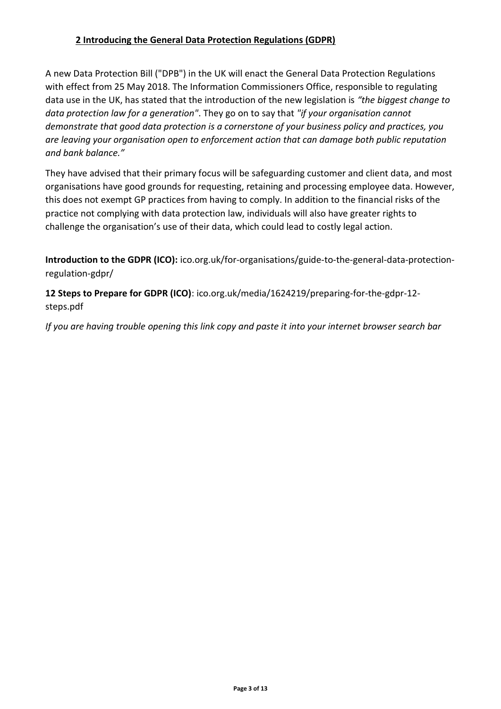# <span id="page-2-0"></span>**2 Introducing the General Data Protection Regulations (GDPR)**

A new Data Protection Bill ("DPB") in the UK will enact the General Data Protection Regulations with effect from 25 May 2018. The Information Commissioners Office, responsible to regulating data use in the UK, has stated that the introduction of the new legislation is *"the biggest change to data protection law for a generation"*. They go on to say that *"if your organisation cannot demonstrate that good data protection is a cornerstone of your business policy and practices, you are leaving your organisation open to enforcement action that can damage both public reputation and bank balance."*

They have advised that their primary focus will be safeguarding customer and client data, and most organisations have good grounds for requesting, retaining and processing employee data. However, this does not exempt GP practices from having to comply. In addition to the financial risks of the practice not complying with data protection law, individuals will also have greater rights to challenge the organisation's use of their data, which could lead to costly legal action.

**Introduction to the GDPR (ICO):** [ico.org.uk/for-organisations/guide-to-the-general-data-protection](https://ico.org.uk/for-organisations/guide-to-the-general-data-protection-regulation-gdpr/)[regulation-gdpr/](https://ico.org.uk/for-organisations/guide-to-the-general-data-protection-regulation-gdpr/)

**12 Steps to Prepare for GDPR (ICO)**: [ico.org.uk/media/1624219/preparing-for-the-gdpr-12](https://ico.org.uk/media/1624219/preparing-for-the-gdpr-12-steps.pdf) [steps.pdf](https://ico.org.uk/media/1624219/preparing-for-the-gdpr-12-steps.pdf)

*If you are having trouble opening this link copy and paste it into your internet browser search bar*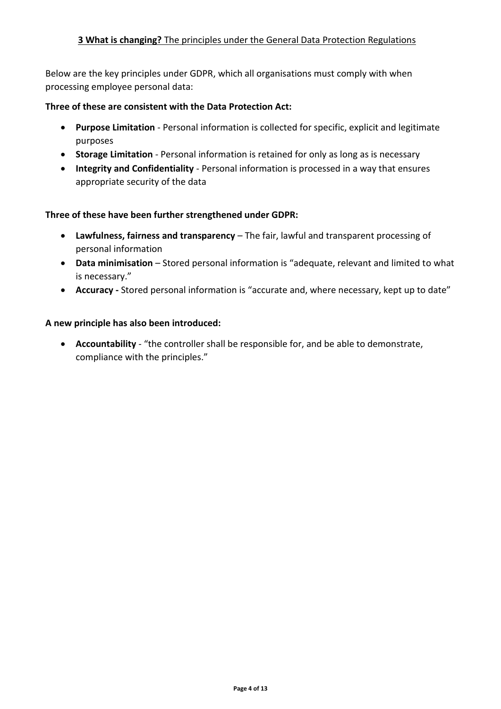<span id="page-3-0"></span>Below are the key principles under GDPR, which all organisations must comply with when processing employee personal data:

### **Three of these are consistent with the Data Protection Act:**

- **Purpose Limitation** Personal information is collected for specific, explicit and legitimate purposes
- **Storage Limitation** Personal information is retained for only as long as is necessary
- **Integrity and Confidentiality** Personal information is processed in a way that ensures appropriate security of the data

### **Three of these have been further strengthened under GDPR:**

- **Lawfulness, fairness and transparency** The fair, lawful and transparent processing of personal information
- **Data minimisation** Stored personal information is "adequate, relevant and limited to what is necessary."
- **Accuracy -** Stored personal information is "accurate and, where necessary, kept up to date"

### **A new principle has also been introduced:**

• **Accountability** - "the controller shall be responsible for, and be able to demonstrate, compliance with the principles."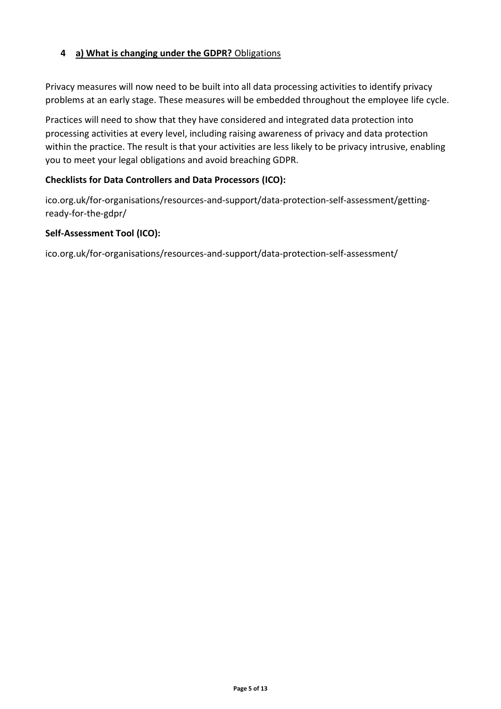### <span id="page-4-0"></span>**4 a) What is changing under the GDPR?** Obligations

Privacy measures will now need to be built into all data processing activities to identify privacy problems at an early stage. These measures will be embedded throughout the employee life cycle.

Practices will need to show that they have considered and integrated data protection into processing activities at every level, including raising awareness of privacy and data protection within the practice. The result is that your activities are less likely to be privacy intrusive, enabling you to meet your legal obligations and avoid breaching GDPR.

### **Checklists for Data Controllers and Data Processors (ICO):**

[ico.org.uk/for-organisations/resources-and-support/data-protection-self-assessment/getting](https://ico.org.uk/for-organisations/resources-and-support/data-protection-self-assessment/getting-ready-for-the-gdpr/)[ready-for-the-gdpr/](https://ico.org.uk/for-organisations/resources-and-support/data-protection-self-assessment/getting-ready-for-the-gdpr/)

### **Self-Assessment Tool (ICO):**

[ico.org.uk/for-organisations/resources-and-support/data-protection-self-assessment/](https://ico.org.uk/for-organisations/resources-and-support/data-protection-self-assessment/)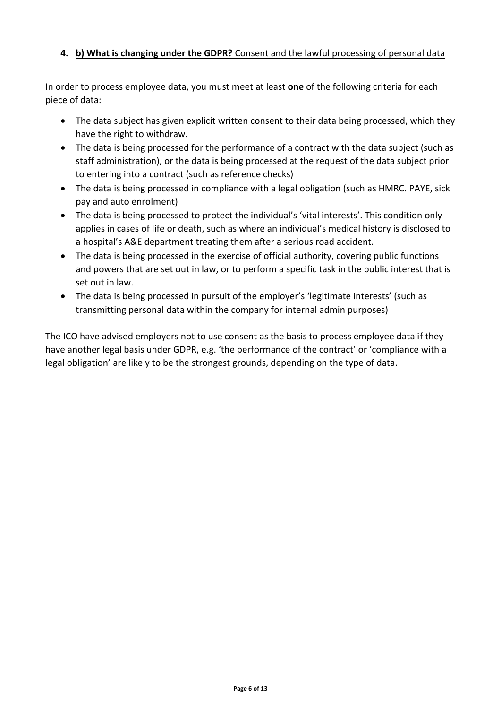# <span id="page-5-0"></span>**4. b) What is changing under the GDPR?** Consent and the lawful processing of personal data

In order to process employee data, you must meet at least **one** of the following criteria for each piece of data:

- The data subject has given explicit written consent to their data being processed, which they have the right to withdraw.
- The data is being processed for the performance of a contract with the data subject (such as staff administration), or the data is being processed at the request of the data subject prior to entering into a contract (such as reference checks)
- The data is being processed in compliance with a legal obligation (such as HMRC. PAYE, sick pay and auto enrolment)
- The data is being processed to protect the individual's 'vital interests'. This condition only applies in cases of life or death, such as where an individual's medical history is disclosed to a hospital's A&E department treating them after a serious road accident.
- The data is being processed in the exercise of official authority, covering public functions and powers that are set out in law, or to perform a specific task in the public interest that is set out in law.
- The data is being processed in pursuit of the employer's 'legitimate interests' (such as transmitting personal data within the company for internal admin purposes)

The ICO have advised employers not to use consent as the basis to process employee data if they have another legal basis under GDPR, e.g. 'the performance of the contract' or 'compliance with a legal obligation' are likely to be the strongest grounds, depending on the type of data.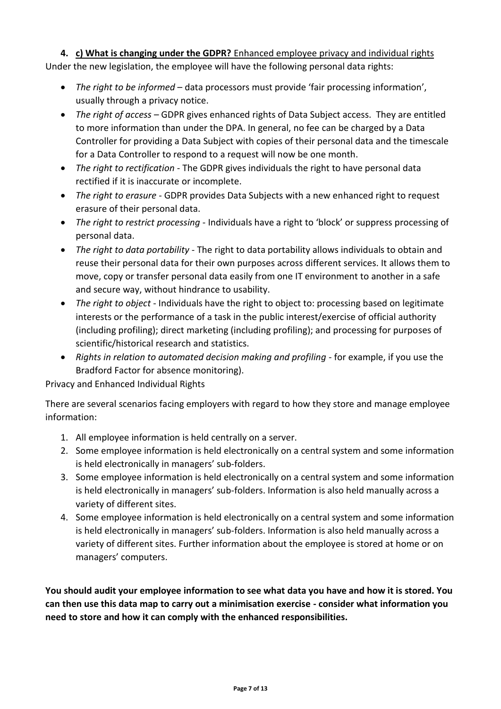# <span id="page-6-0"></span>**4. c) What is changing under the GDPR?** Enhanced employee privacy and individual rights

Under the new legislation, the employee will have the following personal data rights:

- *The right to be informed* data processors must provide 'fair processing information', usually through a privacy notice.
- *The right of access* GDPR gives enhanced rights of Data Subject access. They are entitled to more information than under the DPA. In general, no fee can be charged by a Data Controller for providing a Data Subject with copies of their personal data and the timescale for a Data Controller to respond to a request will now be one month.
- *The right to rectification* The GDPR gives individuals the right to have personal data rectified if it is inaccurate or incomplete.
- *The right to erasure* GDPR provides Data Subjects with a new enhanced right to request erasure of their personal data.
- *The right to restrict processing* Individuals have a right to 'block' or suppress processing of personal data.
- *The right to data portability* The right to data portability allows individuals to obtain and reuse their personal data for their own purposes across different services. It allows them to move, copy or transfer personal data easily from one IT environment to another in a safe and secure way, without hindrance to usability.
- *The right to object* Individuals have the right to object to: processing based on legitimate interests or the performance of a task in the public interest/exercise of official authority (including profiling); direct marketing (including profiling); and processing for purposes of scientific/historical research and statistics.
- *Rights in relation to automated decision making and profiling for example, if you use the* Bradford Factor for absence monitoring).

Privacy and Enhanced Individual Rights

There are several scenarios facing employers with regard to how they store and manage employee information:

- 1. All employee information is held centrally on a server.
- 2. Some employee information is held electronically on a central system and some information is held electronically in managers' sub-folders.
- 3. Some employee information is held electronically on a central system and some information is held electronically in managers' sub-folders. Information is also held manually across a variety of different sites.
- 4. Some employee information is held electronically on a central system and some information is held electronically in managers' sub-folders. Information is also held manually across a variety of different sites. Further information about the employee is stored at home or on managers' computers.

**You should audit your employee information to see what data you have and how it is stored. You can then use this data map to carry out a minimisation exercise - consider what information you need to store and how it can comply with the enhanced responsibilities.**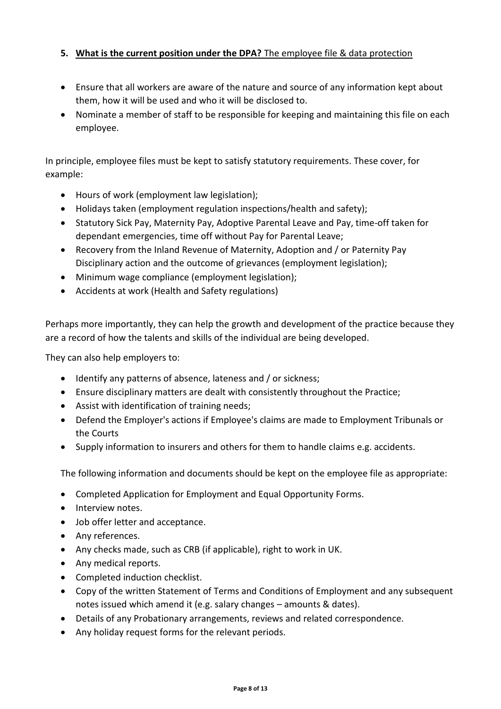# <span id="page-7-0"></span>**5. What is the current position under the DPA?** The employee file & data protection

- Ensure that all workers are aware of the nature and source of any information kept about them, how it will be used and who it will be disclosed to.
- Nominate a member of staff to be responsible for keeping and maintaining this file on each employee.

In principle, employee files must be kept to satisfy statutory requirements. These cover, for example:

- Hours of work (employment law legislation);
- Holidays taken (employment regulation inspections/health and safety);
- Statutory Sick Pay, Maternity Pay, Adoptive Parental Leave and Pay, time-off taken for dependant emergencies, time off without Pay for Parental Leave;
- Recovery from the Inland Revenue of Maternity, Adoption and / or Paternity Pay Disciplinary action and the outcome of grievances (employment legislation);
- Minimum wage compliance (employment legislation);
- Accidents at work (Health and Safety regulations)

Perhaps more importantly, they can help the growth and development of the practice because they are a record of how the talents and skills of the individual are being developed.

They can also help employers to:

- Identify any patterns of absence, lateness and / or sickness;
- Ensure disciplinary matters are dealt with consistently throughout the Practice;
- Assist with identification of training needs;
- Defend the Employer's actions if Employee's claims are made to Employment Tribunals or the Courts
- Supply information to insurers and others for them to handle claims e.g. accidents.

The following information and documents should be kept on the employee file as appropriate:

- Completed Application for Employment and Equal Opportunity Forms.
- Interview notes.
- Job offer letter and acceptance.
- Any references.
- Any checks made, such as CRB (if applicable), right to work in UK.
- Any medical reports.
- Completed induction checklist.
- Copy of the written Statement of Terms and Conditions of Employment and any subsequent notes issued which amend it (e.g. salary changes – amounts & dates).
- Details of any Probationary arrangements, reviews and related correspondence.
- Any holiday request forms for the relevant periods.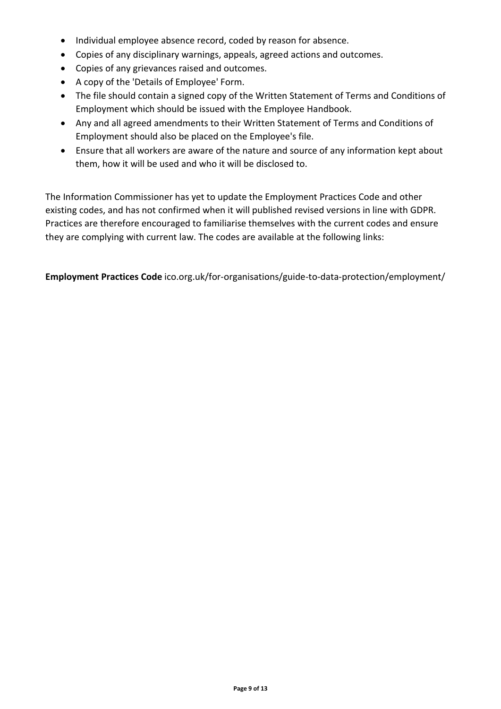- Individual employee absence record, coded by reason for absence.
- Copies of any disciplinary warnings, appeals, agreed actions and outcomes.
- Copies of any grievances raised and outcomes.
- A copy of the 'Details of Employee' Form.
- The file should contain a signed copy of the Written Statement of Terms and Conditions of Employment which should be issued with the Employee Handbook.
- Any and all agreed amendments to their Written Statement of Terms and Conditions of Employment should also be placed on the Employee's file.
- Ensure that all workers are aware of the nature and source of any information kept about them, how it will be used and who it will be disclosed to.

The Information Commissioner has yet to update the Employment Practices Code and other existing codes, and has not confirmed when it will published revised versions in line with GDPR. Practices are therefore encouraged to familiarise themselves with the current codes and ensure they are complying with current law. The codes are available at the following links:

**Employment Practices Code** ico.org.uk/for-organisations/guide-to-data-protection/employment/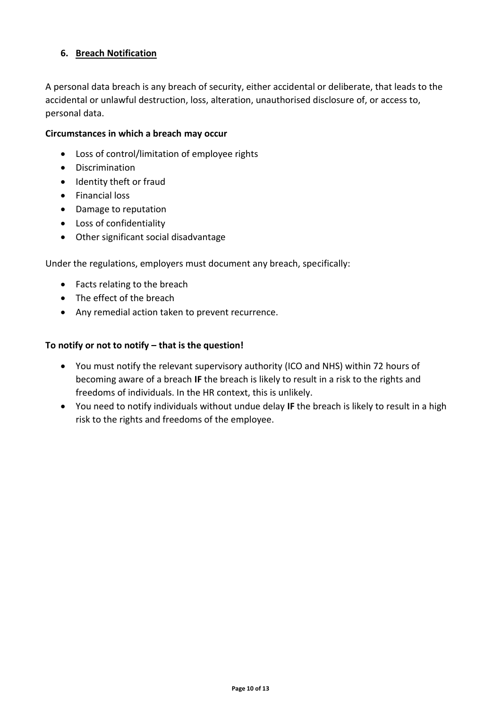# <span id="page-9-0"></span>**6. Breach Notification**

A personal data breach is any breach of security, either accidental or deliberate, that leads to the accidental or unlawful destruction, loss, alteration, unauthorised disclosure of, or access to, personal data.

### **Circumstances in which a breach may occur**

- Loss of control/limitation of employee rights
- Discrimination
- Identity theft or fraud
- Financial loss
- Damage to reputation
- Loss of confidentiality
- Other significant social disadvantage

Under the regulations, employers must document any breach, specifically:

- Facts relating to the breach
- The effect of the breach
- Any remedial action taken to prevent recurrence.

### **To notify or not to notify – that is the question!**

- You must notify the relevant supervisory authority (ICO and NHS) within 72 hours of becoming aware of a breach **IF** the breach is likely to result in a risk to the rights and freedoms of individuals. In the HR context, this is unlikely.
- You need to notify individuals without undue delay **IF** the breach is likely to result in a high risk to the rights and freedoms of the employee.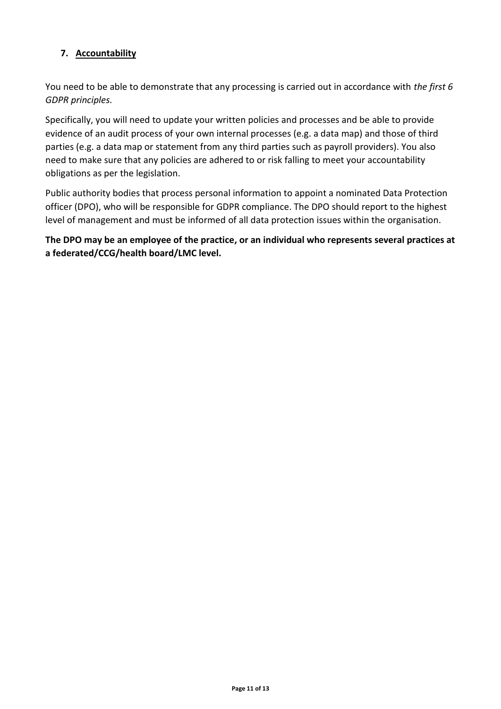# <span id="page-10-0"></span>**7. Accountability**

You need to be able to demonstrate that any processing is carried out in accordance with *[the first 6](#page-3-0)  [GDPR principles.](#page-3-0)* 

Specifically, you will need to update your written policies and processes and be able to provide evidence of an audit process of your own internal processes (e.g. a data map) and those of third parties (e.g. a data map or statement from any third parties such as payroll providers). You also need to make sure that any policies are adhered to or risk falling to meet your accountability obligations as per the legislation.

Public authority bodies that process personal information to appoint a nominated Data Protection officer (DPO), who will be responsible for GDPR compliance. The DPO should report to the highest level of management and must be informed of all data protection issues within the organisation.

**The DPO may be an employee of the practice, or an individual who represents several practices at a federated/CCG/health board/LMC level.**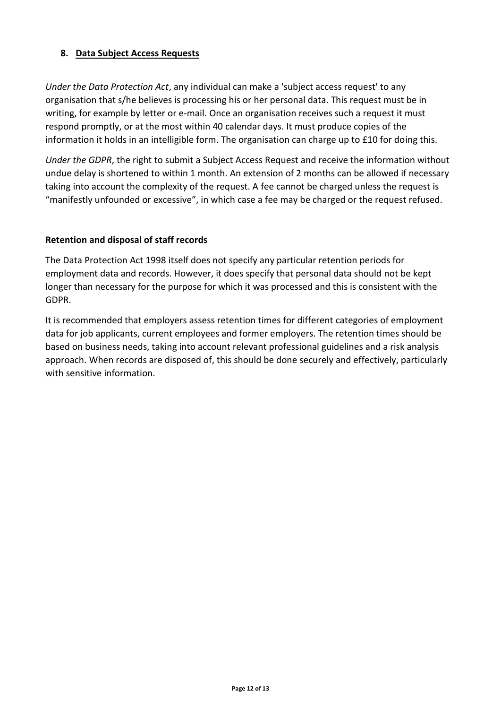### <span id="page-11-0"></span>**8. Data Subject Access Requests**

*Under the Data Protection Act*, any individual can make a 'subject access request' to any organisation that s/he believes is processing his or her personal data. This request must be in writing, for example by letter or e-mail. Once an organisation receives such a request it must respond promptly, or at the most within 40 calendar days. It must produce copies of the information it holds in an intelligible form. The organisation can charge up to £10 for doing this.

*Under the GDPR*, the right to submit a Subject Access Request and receive the information without undue delay is shortened to within 1 month. An extension of 2 months can be allowed if necessary taking into account the complexity of the request. A fee cannot be charged unless the request is "manifestly unfounded or excessive", in which case a fee may be charged or the request refused.

### **Retention and disposal of staff records**

The Data Protection Act 1998 itself does not specify any particular retention periods for employment data and records. However, it does specify that personal data should not be kept longer than necessary for the purpose for which it was processed and this is consistent with the GDPR.

It is recommended that employers assess retention times for different categories of employment data for job applicants, current employees and former employers. The retention times should be based on business needs, taking into account relevant professional guidelines and a risk analysis approach. When records are disposed of, this should be done securely and effectively, particularly with sensitive information.